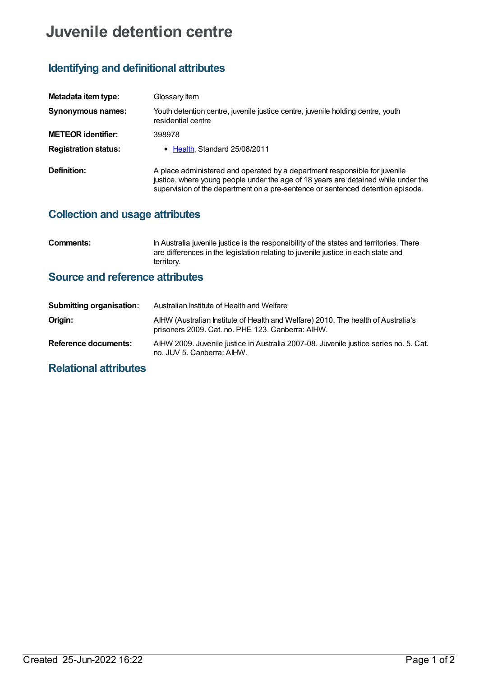# **Juvenile detention centre**

## **Identifying and definitional attributes**

| Metadata item type:         | Glossary Item                                                                                                                                                                                                                                       |
|-----------------------------|-----------------------------------------------------------------------------------------------------------------------------------------------------------------------------------------------------------------------------------------------------|
| Synonymous names:           | Youth detention centre, juvenile justice centre, juvenile holding centre, youth<br>residential centre                                                                                                                                               |
| <b>METEOR identifier:</b>   | 398978                                                                                                                                                                                                                                              |
| <b>Registration status:</b> | • Health, Standard 25/08/2011                                                                                                                                                                                                                       |
| Definition:                 | A place administered and operated by a department responsible for juvenile<br>justice, where young people under the age of 18 years are detained while under the<br>supervision of the department on a pre-sentence or sentenced detention episode. |

### **Collection and usage attributes**

**Comments:** In Australia juvenile justice is the responsibility of the states and territories. There are differences in the legislation relating to juvenile justice in each state and territory.

### **Source and reference attributes**

| <b>Submitting organisation:</b> | Australian Institute of Health and Welfare                                                                                             |
|---------------------------------|----------------------------------------------------------------------------------------------------------------------------------------|
| Origin:                         | AIHW (Australian Institute of Health and Welfare) 2010. The health of Australia's<br>prisoners 2009. Cat. no. PHE 123. Canberra: AIHW. |
| Reference documents:            | AIHW 2009. Juvenile justice in Australia 2007-08. Juvenile justice series no. 5. Cat.<br>no. JUV 5. Canberra: AIHW.                    |

## **Relational attributes**